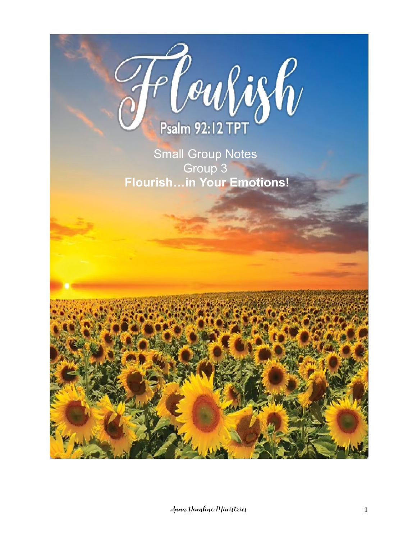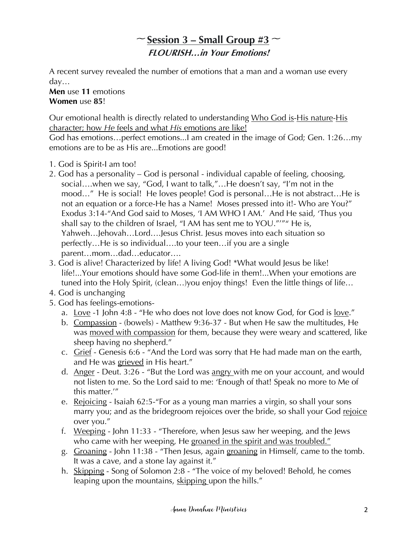# $\sim$  **<u>Session 3 – Small Group #3</u>**  $\sim$ **FLOURISH…in Your Emotions!**

A recent survey revealed the number of emotions that a man and a woman use every day…

**Men** use **11** emotions **Women** use **85**!

Our emotional health is directly related to understanding Who God is-His nature-His character; how *He* feels and what *His* emotions are like!

God has emotions…perfect emotions...I am created in the image of God; Gen. 1:26…my emotions are to be as His are...Emotions are good!

- 1. God is Spirit-I am too!
- 2. God has a personality God is personal individual capable of feeling, choosing, social….when we say, "God, I want to talk,"…He doesn't say, "I'm not in the mood..." He is social! He loves people! God is personal...He is not abstract...He is not an equation or a force-He has a Name! Moses pressed into it!- Who are You?" Exodus 3:14-"And God said to Moses, 'I AM WHO I AM.' And He said, 'Thus you shall say to the children of Israel, "I AM has sent me to YOU."'"" He is, Yahweh…Jehovah…Lord….Jesus Christ. Jesus moves into each situation so perfectly…He is so individual….to your teen…if you are a single parent…mom…dad…educator….
- 3. God is alive! Characterized by life! A living God! \*What would Jesus be like! life!...Your emotions should have some God-life in them!...When your emotions are tuned into the Holy Spirit, (clean…)you enjoy things! Even the little things of life…
- 4. God is unchanging
- 5. God has feelings-emotions
	- a. Love -1 John 4:8 "He who does not love does not know God, for God is love."
	- b. Compassion (bowels) Matthew 9:36-37 But when He saw the multitudes, He was moved with compassion for them, because they were weary and scattered, like sheep having no shepherd."
	- c. Grief Genesis 6:6 "And the Lord was sorry that He had made man on the earth, and He was grieved in His heart."
	- d. Anger Deut. 3:26 "But the Lord was angry with me on your account, and would not listen to me. So the Lord said to me: 'Enough of that! Speak no more to Me of this matter.'"
	- e. Rejoicing Isaiah 62:5-"For as a young man marries a virgin, so shall your sons marry you; and as the bridegroom rejoices over the bride, so shall your God rejoice over you."
	- f. Weeping John 11:33 "Therefore, when Jesus saw her weeping, and the Jews who came with her weeping, He groaned in the spirit and was troubled."
	- g. Groaning John 11:38 "Then Jesus, again groaning in Himself, came to the tomb. It was a cave, and a stone lay against it."
	- h. Skipping Song of Solomon 2:8 "The voice of my beloved! Behold, he comes leaping upon the mountains, skipping upon the hills."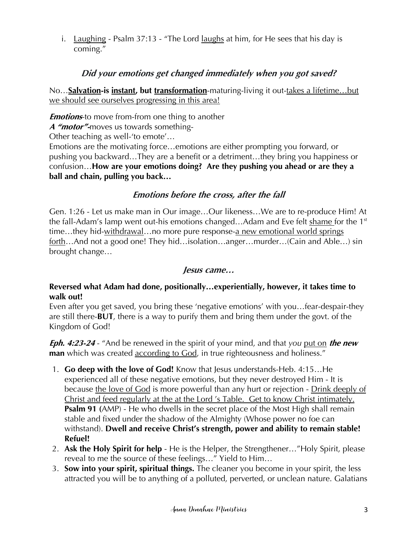i. Laughing - Psalm  $37:13$  - "The Lord laughs at him, for He sees that his day is coming."

## **Did your emotions get changed immediately when you got saved?**

No…**Salvation-is instant, but transformation**-maturing-living it out-takes a lifetime…but we should see ourselves progressing in this area!

*Emotions*-to move from-from one thing to another

**A "motor"-**moves us towards something-

Other teaching as well-'to emote'…

Emotions are the motivating force…emotions are either prompting you forward, or pushing you backward…They are a benefit or a detriment…they bring you happiness or confusion…**How are your emotions doing? Are they pushing you ahead or are they a ball and chain, pulling you back…**

## **Emotions before the cross, after the fall**

Gen. 1:26 - Let us make man in Our image…Our likeness…We are to re-produce Him! At the fall-Adam's lamp went out-his emotions changed...Adam and Eve felt shame for the  $1<sup>st</sup>$ time…they hid-withdrawal…no more pure response-a new emotional world springs forth…And not a good one! They hid…isolation…anger…murder…(Cain and Able…) sin brought change…

#### **Jesus came…**

#### **Reversed what Adam had done, positionally…experientially, however, it takes time to walk out!**

Even after you get saved, you bring these 'negative emotions' with you…fear-despair-they are still there-**BUT**, there is a way to purify them and bring them under the govt. of the Kingdom of God!

**Eph. 4:23-24** - "And be renewed in the spirit of your mind, and that *you* put on **the new man** which was created according to God, in true righteousness and holiness."

- 1. **Go deep with the love of God!** Know that Jesus understands-Heb. 4:15…He experienced all of these negative emotions, but they never destroyed Him - It is because the love of God is more powerful than any hurt or rejection - Drink deeply of Christ and feed regularly at the at the Lord 's Table. Get to know Christ intimately. **Psalm 91 (**AMP) - He who dwells in the secret place of the Most High shall remain stable and fixed under the shadow of the Almighty (Whose power no foe can withstand). **Dwell and receive Christ's strength, power and ability to remain stable! Refuel!**
- 2. **Ask the Holy Spirit for help** He is the Helper, the Strengthener…"Holy Spirit, please reveal to me the source of these feelings…" Yield to Him…
- 3. **Sow into your spirit, spiritual things.** The cleaner you become in your spirit, the less attracted you will be to anything of a polluted, perverted, or unclean nature. Galatians